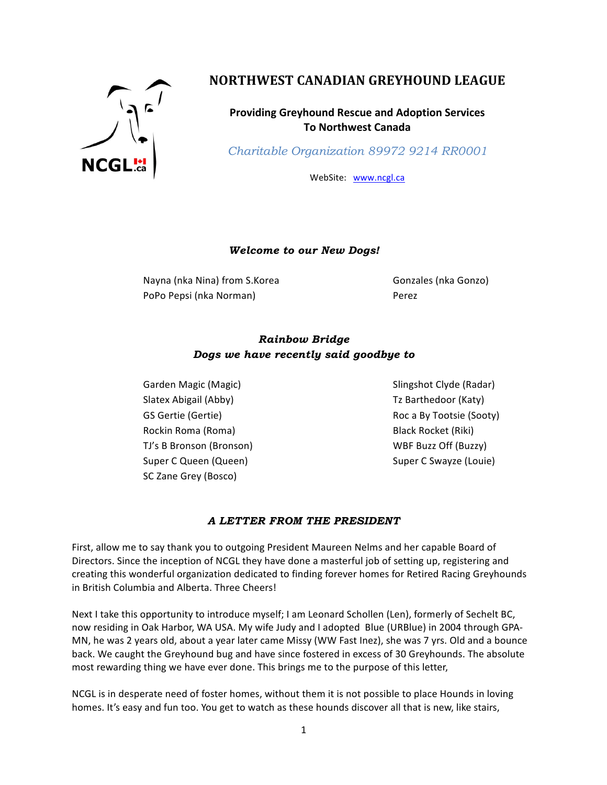

# **NORTHWEST CANADIAN GREYHOUND LEAGUE**

**Providing Greyhound Rescue and Adoption Services To Northwest Canada**

*Charitable Organization 89972 9214 RR0001*

WebSite: www.ncgl.ca

#### *Welcome to our New Dogs!*

Nayna (nka Nina) from S.Korea Gonzales (nka Gonzo) PoPo Pepsi (nka Norman) and a comparation of the Perez

# *Rainbow Bridge Dogs we have recently said goodbye to*

Garden Magic (Magic) Solid Communist Communist Clyde (Radar) Slatex Abigail (Abby) Tz Barthedoor (Katy) Rockin Roma (Roma) Black Rocket (Riki) TJ's B Bronson (Bronson) TJ's B Bronson (Bronson) Super C Queen (Queen) Super C Swayze (Louie) SC Zane Grey (Bosco)

GS Gertie (Gertie) **Roca** By Tootsie (Sooty) **Roc** a By Tootsie (Sooty)

### *A LETTER FROM THE PRESIDENT*

First, allow me to say thank you to outgoing President Maureen Nelms and her capable Board of Directors. Since the inception of NCGL they have done a masterful job of setting up, registering and creating this wonderful organization dedicated to finding forever homes for Retired Racing Greyhounds in British Columbia and Alberta. Three Cheers!

Next I take this opportunity to introduce myself; I am Leonard Schollen (Len), formerly of Sechelt BC, now residing in Oak Harbor, WA USA. My wife Judy and I adopted Blue (URBlue) in 2004 through GPA-MN, he was 2 years old, about a year later came Missy (WW Fast Inez), she was 7 yrs. Old and a bounce back. We caught the Greyhound bug and have since fostered in excess of 30 Greyhounds. The absolute most rewarding thing we have ever done. This brings me to the purpose of this letter,

NCGL is in desperate need of foster homes, without them it is not possible to place Hounds in loving homes. It's easy and fun too. You get to watch as these hounds discover all that is new, like stairs,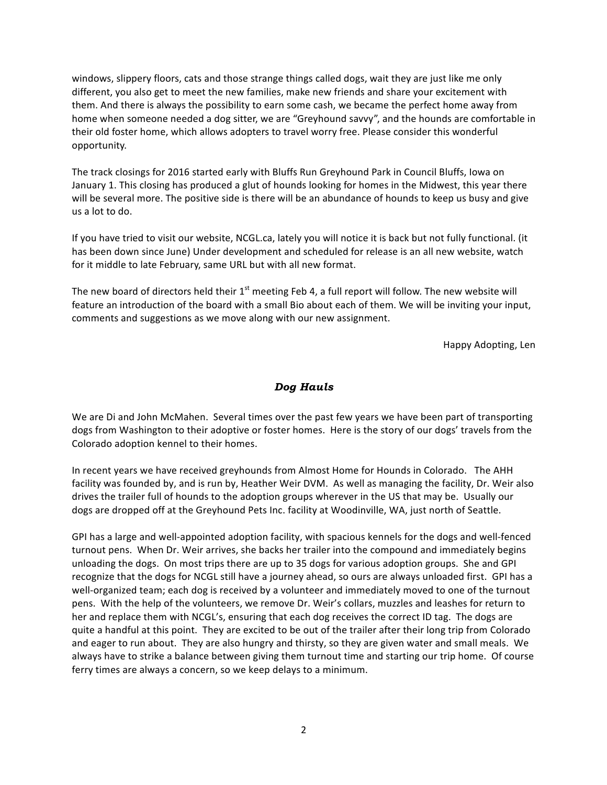windows, slippery floors, cats and those strange things called dogs, wait they are just like me only different, you also get to meet the new families, make new friends and share your excitement with them. And there is always the possibility to earn some cash, we became the perfect home away from home when someone needed a dog sitter, we are "Greyhound savvy", and the hounds are comfortable in their old foster home, which allows adopters to travel worry free. Please consider this wonderful opportunity.

The track closings for 2016 started early with Bluffs Run Greyhound Park in Council Bluffs, Iowa on January 1. This closing has produced a glut of hounds looking for homes in the Midwest, this year there will be several more. The positive side is there will be an abundance of hounds to keep us busy and give us a lot to do.

If you have tried to visit our website, NCGL.ca, lately you will notice it is back but not fully functional. (it has been down since June) Under development and scheduled for release is an all new website, watch for it middle to late February, same URL but with all new format.

The new board of directors held their  $1<sup>st</sup>$  meeting Feb 4, a full report will follow. The new website will feature an introduction of the board with a small Bio about each of them. We will be inviting your input, comments and suggestions as we move along with our new assignment.

Happy Adopting, Len

#### *Dog Hauls*

We are Di and John McMahen. Several times over the past few years we have been part of transporting dogs from Washington to their adoptive or foster homes. Here is the story of our dogs' travels from the Colorado adoption kennel to their homes.

In recent years we have received greyhounds from Almost Home for Hounds in Colorado. The AHH facility was founded by, and is run by, Heather Weir DVM. As well as managing the facility, Dr. Weir also drives the trailer full of hounds to the adoption groups wherever in the US that may be. Usually our dogs are dropped off at the Greyhound Pets Inc. facility at Woodinville, WA, just north of Seattle.

GPI has a large and well-appointed adoption facility, with spacious kennels for the dogs and well-fenced turnout pens. When Dr. Weir arrives, she backs her trailer into the compound and immediately begins unloading the dogs. On most trips there are up to 35 dogs for various adoption groups. She and GPI recognize that the dogs for NCGL still have a journey ahead, so ours are always unloaded first. GPI has a well-organized team; each dog is received by a volunteer and immediately moved to one of the turnout pens. With the help of the volunteers, we remove Dr. Weir's collars, muzzles and leashes for return to her and replace them with NCGL's, ensuring that each dog receives the correct ID tag. The dogs are quite a handful at this point. They are excited to be out of the trailer after their long trip from Colorado and eager to run about. They are also hungry and thirsty, so they are given water and small meals. We always have to strike a balance between giving them turnout time and starting our trip home. Of course ferry times are always a concern, so we keep delays to a minimum.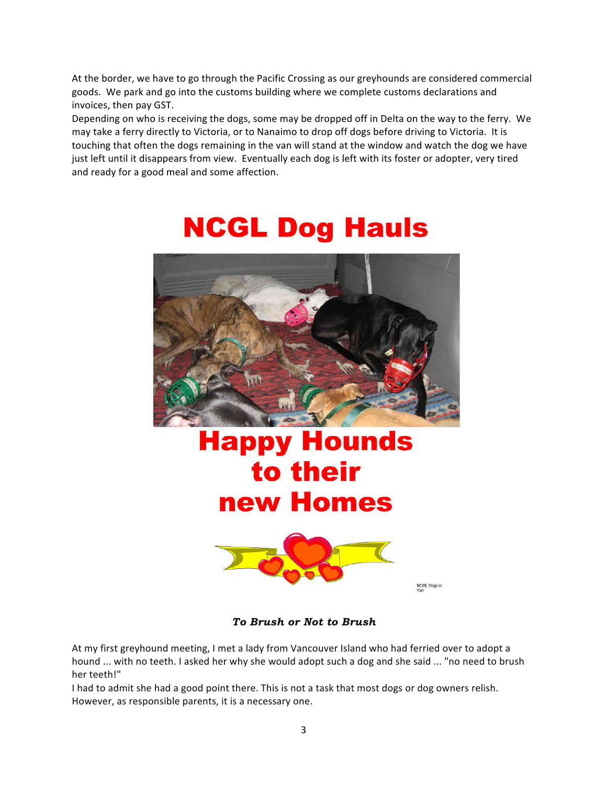At the border, we have to go through the Pacific Crossing as our greyhounds are considered commercial goods. We park and go into the customs building where we complete customs declarations and invoices, then pay GST.

Depending on who is receiving the dogs, some may be dropped off in Delta on the way to the ferry. We may take a ferry directly to Victoria, or to Nanaimo to drop off dogs before driving to Victoria. It is touching that often the dogs remaining in the van will stand at the window and watch the dog we have just left until it disappears from view. Eventually each dog is left with its foster or adopter, very tired and ready for a good meal and some affection.

# **NCGL Dog Hauls**



# **Happy Hounds** to their new Homes



NCGL Dogs in

*To Brush or Not to Brush*

At my first greyhound meeting, I met a lady from Vancouver Island who had ferried over to adopt a hound ... with no teeth. I asked her why she would adopt such a dog and she said ... "no need to brush her teeth!"

I had to admit she had a good point there. This is not a task that most dogs or dog owners relish. However, as responsible parents, it is a necessary one.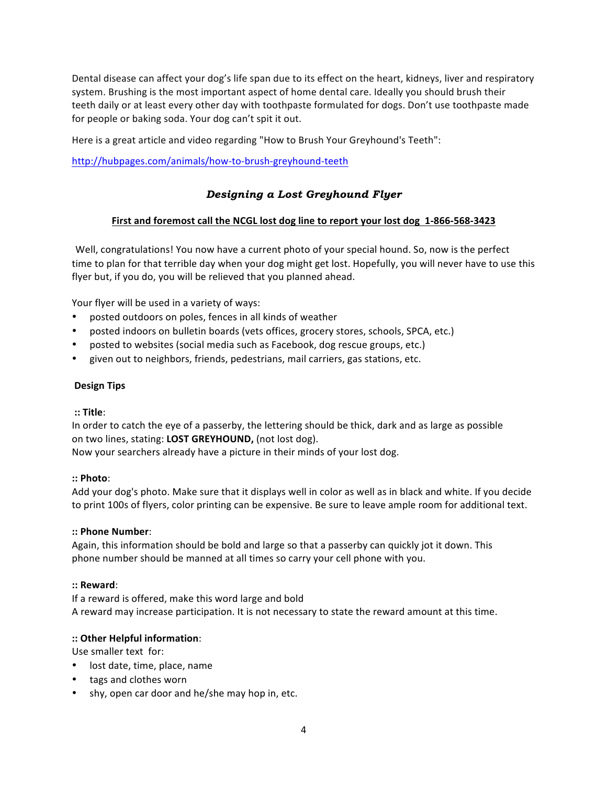Dental disease can affect your dog's life span due to its effect on the heart, kidneys, liver and respiratory system. Brushing is the most important aspect of home dental care. Ideally you should brush their teeth daily or at least every other day with toothpaste formulated for dogs. Don't use toothpaste made for people or baking soda. Your dog can't spit it out.

Here is a great article and video regarding "How to Brush Your Greyhound's Teeth":

http://hubpages.com/animals/how-to-brush-greyhound-teeth

# *Designing a Lost Greyhound Flyer*

#### First and foremost call the NCGL lost dog line to report your lost dog 1-866-568-3423

Well, congratulations! You now have a current photo of your special hound. So, now is the perfect time to plan for that terrible day when your dog might get lost. Hopefully, you will never have to use this flyer but, if you do, you will be relieved that you planned ahead.

Your flyer will be used in a variety of ways:

- posted outdoors on poles, fences in all kinds of weather
- posted indoors on bulletin boards (vets offices, grocery stores, schools, SPCA, etc.)
- posted to websites (social media such as Facebook, dog rescue groups, etc.)
- given out to neighbors, friends, pedestrians, mail carriers, gas stations, etc.

#### **Design Tips**

#### **:: Title**:

In order to catch the eye of a passerby, the lettering should be thick, dark and as large as possible on two lines, stating: **LOST GREYHOUND**, (not lost dog).

Now your searchers already have a picture in their minds of your lost dog.

#### **:: Photo**:

Add your dog's photo. Make sure that it displays well in color as well as in black and white. If you decide to print 100s of flyers, color printing can be expensive. Be sure to leave ample room for additional text.

#### **:: Phone Number**:

Again, this information should be bold and large so that a passerby can quickly jot it down. This phone number should be manned at all times so carry your cell phone with you.

#### **:: Reward**:

If a reward is offered, make this word large and bold A reward may increase participation. It is not necessary to state the reward amount at this time.

#### **:: Other Helpful information**:

Use smaller text for:

- lost date, time, place, name
- tags and clothes worn
- shy, open car door and he/she may hop in, etc.